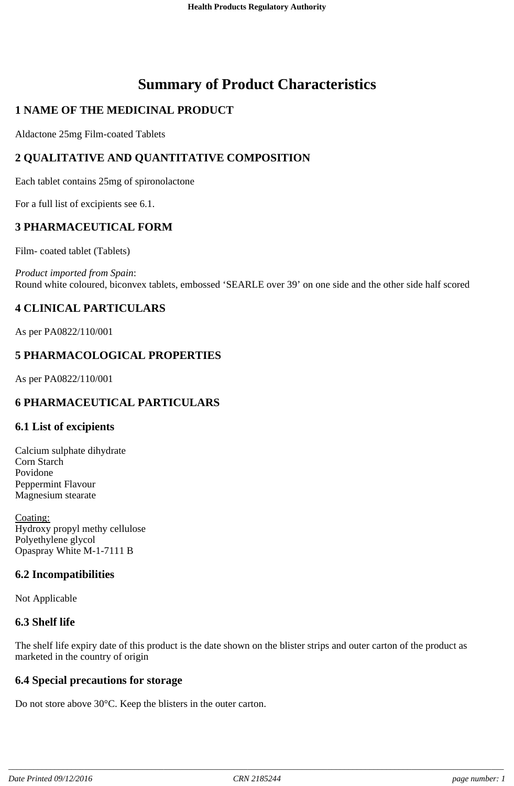# **Summary of Product Characteristics**

# **1 NAME OF THE MEDICINAL PRODUCT**

Aldactone 25mg Film-coated Tablets

# **2 QUALITATIVE AND QUANTITATIVE COMPOSITION**

Each tablet contains 25mg of spironolactone

For a full list of excipients see 6.1.

# **3 PHARMACEUTICAL FORM**

Film- coated tablet (Tablets)

*Product imported from Spain*: Round white coloured, biconvex tablets, embossed 'SEARLE over 39' on one side and the other side half scored

# **4 CLINICAL PARTICULARS**

As per PA0822/110/001

# **5 PHARMACOLOGICAL PROPERTIES**

As per PA0822/110/001

# **6 PHARMACEUTICAL PARTICULARS**

#### **6.1 List of excipients**

Calcium sulphate dihydrate Corn Starch Povidone Peppermint Flavour Magnesium stearate

Coating: Hydroxy propyl methy cellulose Polyethylene glycol Opaspray White M-1-7111 B

#### **6.2 Incompatibilities**

Not Applicable

#### **6.3 Shelf life**

The shelf life expiry date of this product is the date shown on the blister strips and outer carton of the product as marketed in the country of origin

#### **6.4 Special precautions for storage**

Do not store above 30°C. Keep the blisters in the outer carton.